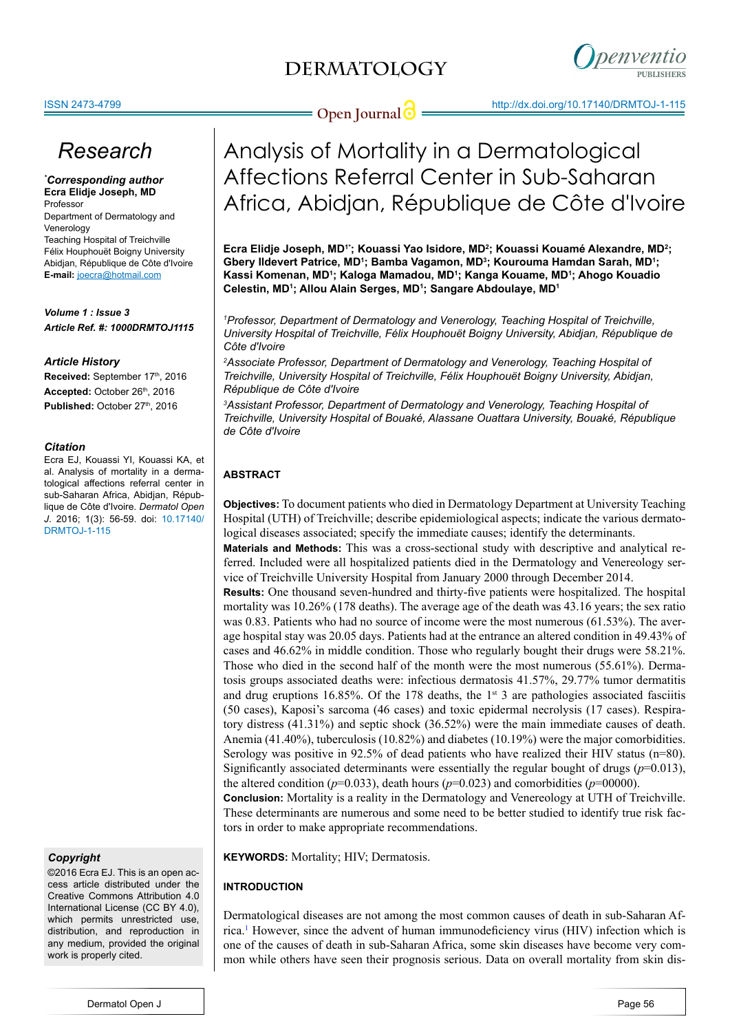

# **Open Journal @** http://dx.doi.org/10.17140/DRMTOJ-1-115

# *Research*

*\* Corresponding author* **Ecra Elidje Joseph, MD** Professor Department of Dermatology and

Venerology Teaching Hospital of Treichville Félix Houphouët Boigny University Abidjan, République de Côte d'Ivoire **E-mail:** joecra@hotmail.com

*Volume 1 : Issue 3 Article Ref. #: 1000DRMTOJ1115*

#### *Article History*

Received: September 17th, 2016 Accepted: October 26<sup>th</sup>, 2016 Published: October 27<sup>th</sup>, 2016

#### *Citation*

Ecra EJ, Kouassi YI, Kouassi KA, et al. Analysis of mortality in a dermatological affections referral center in sub-Saharan Africa, Abidjan, République de Côte d'Ivoire. *Dermatol Open J*. 2016; 1(3): 56-59. doi: [10.17140/](http://openventio.org/Volume1_Issue2/The_Use_of_Freshly_Roasted_Coffee_Bean_Powder_in_the_Treatment_of_Burn_Wound_A_Case_Report_DRMTOJ_1_112.pdf) [DRMTOJ-1-115](http://openventio.org/Volume1_Issue2/The_Use_of_Freshly_Roasted_Coffee_Bean_Powder_in_the_Treatment_of_Burn_Wound_A_Case_Report_DRMTOJ_1_112.pdf)

*Copyright*

©2016 Ecra EJ. This is an open access article distributed under the Creative Commons Attribution 4.0 International License (CC BY 4.0), which permits unrestricted use, distribution, and reproduction in any medium, provided the original work is properly cited.

# Analysis of Mortality in a Dermatological Affections Referral Center in Sub-Saharan Africa, Abidjan, République de Côte d'Ivoire

**Ecra Elidje Joseph, MD1\*; Kouassi Yao Isidore, MD2 ; Kouassi Kouamé Alexandre, MD2 ; Gbery Ildevert Patrice, MD1 ; Bamba Vagamon, MD3 ; Kourouma Hamdan Sarah, MD1 ; Kassi Komenan, MD1 ; Kaloga Mamadou, MD1 ; Kanga Kouame, MD1 ; Ahogo Kouadio Celestin, MD1 ; Allou Alain Serges, MD1 ; Sangare Abdoulaye, MD1**

*1 Professor, Department of Dermatology and Venerology, Teaching Hospital of Treichville, University Hospital of Treichville, Félix Houphouët Boigny University, Abidjan, République de Côte d'Ivoire*

*2 Associate Professor, Department of Dermatology and Venerology, Teaching Hospital of Treichville, University Hospital of Treichville, Félix Houphouët Boigny University, Abidjan, République de Côte d'Ivoire*

*3 Assistant Professor, Department of Dermatology and Venerology, Teaching Hospital of Treichville, University Hospital of Bouaké, Alassane Ouattara University, Bouaké, République de Côte d'Ivoire*

### **ABSTRACT**

**Objectives:** To document patients who died in Dermatology Department at University Teaching Hospital (UTH) of Treichville; describe epidemiological aspects; indicate the various dermatological diseases associated; specify the immediate causes; identify the determinants.

**Materials and Methods:** This was a cross-sectional study with descriptive and analytical referred. Included were all hospitalized patients died in the Dermatology and Venereology service of Treichville University Hospital from January 2000 through December 2014.

**Results:** One thousand seven-hundred and thirty-five patients were hospitalized. The hospital mortality was 10.26% (178 deaths). The average age of the death was 43.16 years; the sex ratio was 0.83. Patients who had no source of income were the most numerous (61.53%). The average hospital stay was 20.05 days. Patients had at the entrance an altered condition in 49.43% of cases and 46.62% in middle condition. Those who regularly bought their drugs were 58.21%. Those who died in the second half of the month were the most numerous (55.61%). Dermatosis groups associated deaths were: infectious dermatosis 41.57%, 29.77% tumor dermatitis and drug eruptions 16.85%. Of the 178 deaths, the  $1<sup>st</sup>$  3 are pathologies associated fasciitis (50 cases), Kaposi's sarcoma (46 cases) and toxic epidermal necrolysis (17 cases). Respiratory distress (41.31%) and septic shock (36.52%) were the main immediate causes of death. Anemia (41.40%), tuberculosis (10.82%) and diabetes (10.19%) were the major comorbidities. Serology was positive in 92.5% of dead patients who have realized their HIV status (n=80). Significantly associated determinants were essentially the regular bought of drugs  $(p=0.013)$ , the altered condition ( $p=0.033$ ), death hours ( $p=0.023$ ) and comorbidities ( $p=00000$ ). **Conclusion:** Mortality is a reality in the Dermatology and Venereology at UTH of Treichville.

These determinants are numerous and some need to be better studied to identify true risk factors in order to make appropriate recommendations.

**KEYWORDS:** Mortality; HIV; Dermatosis.

### **INTRODUCTION**

Dermatological diseases are not among the most common causes of death in sub-Saharan Africa.[1](#page-3-0) However, since the advent of human immunodeficiency virus (HIV) infection which is one of the causes of death in sub-Saharan Africa, some skin diseases have become very common while others have seen their prognosis serious. Data on overall mortality from skin dis-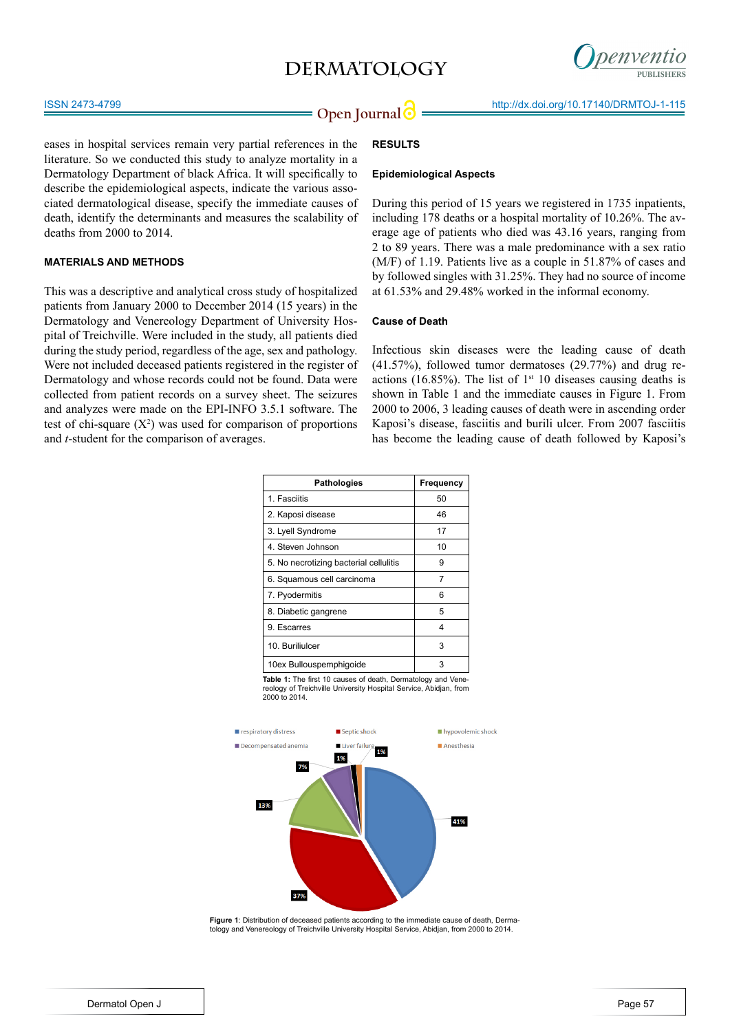## **DERMATOLOGY**



eases in hospital services remain very partial references in the literature. So we conducted this study to analyze mortality in a Dermatology Department of black Africa. It will specifically to describe the epidemiological aspects, indicate the various associated dermatological disease, specify the immediate causes of death, identify the determinants and measures the scalability of deaths from 2000 to 2014.

#### **MATERIALS AND METHODS**

This was a descriptive and analytical cross study of hospitalized patients from January 2000 to December 2014 (15 years) in the Dermatology and Venereology Department of University Hospital of Treichville. Were included in the study, all patients died during the study period, regardless of the age, sex and pathology. Were not included deceased patients registered in the register of Dermatology and whose records could not be found. Data were collected from patient records on a survey sheet. The seizures and analyzes were made on the EPI-INFO 3.5.1 software. The test of chi-square  $(X^2)$  was used for comparison of proportions and *t*-student for the comparison of averages.

### **RESULTS**

#### **Epidemiological Aspects**

During this period of 15 years we registered in 1735 inpatients, including 178 deaths or a hospital mortality of 10.26%. The average age of patients who died was 43.16 years, ranging from 2 to 89 years. There was a male predominance with a sex ratio (M/F) of 1.19. Patients live as a couple in 51.87% of cases and by followed singles with 31.25%. They had no source of income at 61.53% and 29.48% worked in the informal economy.

#### **Cause of Death**

Infectious skin diseases were the leading cause of death (41.57%), followed tumor dermatoses (29.77%) and drug reactions (16.85%). The list of  $1<sup>st</sup>$  10 diseases causing deaths is shown in Table 1 and the immediate causes in Figure 1. From 2000 to 2006, 3 leading causes of death were in ascending order Kaposi's disease, fasciitis and burili ulcer. From 2007 fasciitis has become the leading cause of death followed by Kaposi's

| <b>Pathologies</b>                                                  | Frequency |  |  |
|---------------------------------------------------------------------|-----------|--|--|
| 1. Fasciitis                                                        | 50        |  |  |
| 2. Kaposi disease                                                   | 46        |  |  |
| 3. Lyell Syndrome                                                   | 17        |  |  |
| 4. Steven Johnson                                                   | 10        |  |  |
| 5. No necrotizing bacterial cellulitis                              | 9         |  |  |
| 6. Squamous cell carcinoma                                          | 7         |  |  |
| 7. Pyodermitis                                                      | 6         |  |  |
| 8. Diabetic gangrene                                                | 5         |  |  |
| 9. Escarres                                                         | 4         |  |  |
| 10. Buriliulcer                                                     | 3         |  |  |
| 10ex Bullouspemphiqoide                                             | 3         |  |  |
| <b>Table 1:</b> The first 10 causes of death. Dermatology and Vene- |           |  |  |

**Table 1:** The first 10 causes of death, Dermatology and Vene-reology of Treichville University Hospital Service, Abidjan, from 2000 to 2014.



**Figure 1**: Distribution of deceased patients according to the immediate cause of death, Dermatology and Venereology of Treichville University Hospital Service, Abidjan, from 2000 to 2014.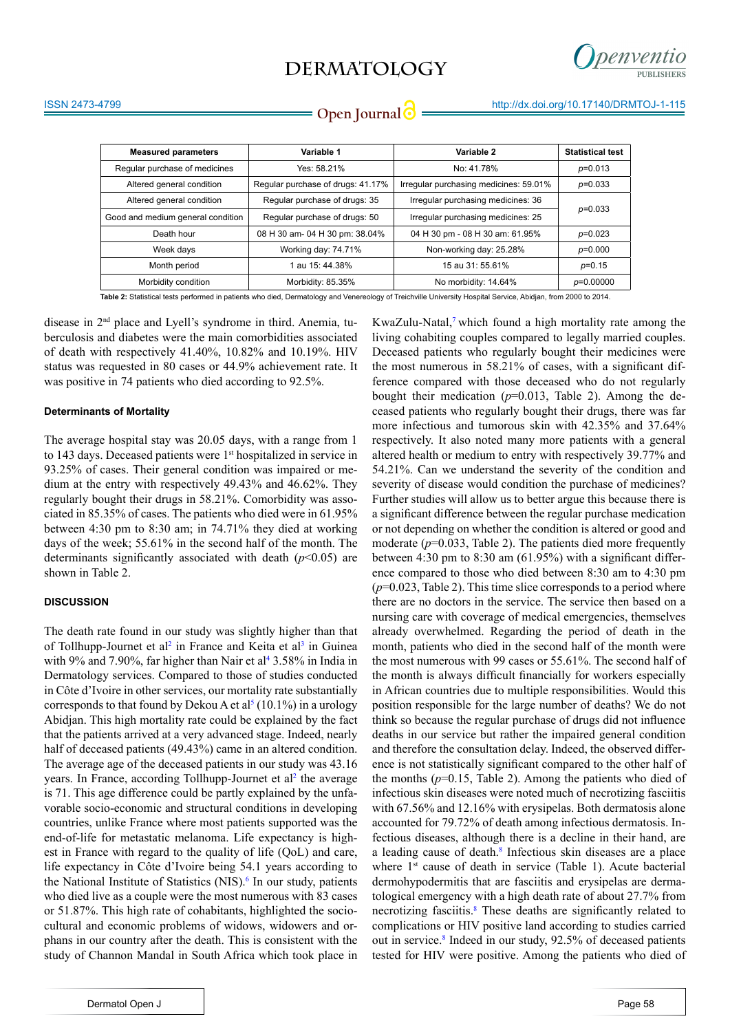## **DERMATOLOGY**



**Open Journal** http://dx.doi.org/10.17140/DRMTOJ-1-115

|  | Open Journal |  |
|--|--------------|--|
|  |              |  |

| <b>Measured parameters</b>        | Variable 1                        | Variable 2                             | <b>Statistical test</b> |  |
|-----------------------------------|-----------------------------------|----------------------------------------|-------------------------|--|
| Regular purchase of medicines     | Yes: 58.21%                       | No: 41.78%                             | $p=0.013$               |  |
| Altered general condition         | Regular purchase of drugs: 41.17% | Irregular purchasing medicines: 59.01% | $p=0.033$               |  |
| Altered general condition         | Regular purchase of drugs: 35     | Irregular purchasing medicines: 36     |                         |  |
| Good and medium general condition | Regular purchase of drugs: 50     | Irregular purchasing medicines: 25     | $p=0.033$               |  |
| Death hour                        | 08 H 30 am- 04 H 30 pm: 38.04%    | 04 H 30 pm - 08 H 30 am: 61.95%        | $p=0.023$               |  |
| Week days                         | Working day: 74.71%               | Non-working day: 25.28%                | $p=0.000$               |  |
| Month period                      | 1 au 15: 44.38%                   | 15 au 31: 55.61%                       | $p=0.15$                |  |
| Morbidity condition               | Morbidity: 85.35%                 | No morbidity: 14.64%                   | $p=0.00000$             |  |

**Table 2:** Statistical tests performed in patients who died, Dermatology and Venereology of Treichville University Hospital Service, Abidjan, from 2000 to 2014.

disease in 2nd place and Lyell's syndrome in third. Anemia, tuberculosis and diabetes were the main comorbidities associated of death with respectively 41.40%, 10.82% and 10.19%. HIV status was requested in 80 cases or 44.9% achievement rate. It was positive in 74 patients who died according to 92.5%.

#### **Determinants of Mortality**

The average hospital stay was 20.05 days, with a range from 1 to 143 days. Deceased patients were 1<sup>st</sup> hospitalized in service in 93.25% of cases. Their general condition was impaired or medium at the entry with respectively 49.43% and 46.62%. They regularly bought their drugs in 58.21%. Comorbidity was associated in 85.35% of cases. The patients who died were in 61.95% between 4:30 pm to 8:30 am; in 74.71% they died at working days of the week; 55.61% in the second half of the month. The determinants significantly associated with death  $(p<0.05)$  are shown in Table 2.

#### **DISCUSSION**

The death rate found in our study was slightly higher than that of Tollhupp-Journet et al<sup>2</sup> in France and Keita et al<sup>3</sup> in Guinea with 9% and 7.90%, far higher than Nair et al<sup>4</sup> 3.58% in India in Dermatology services. Compared to those of studies conducted in Côte d'Ivoire in other services, our mortality rate substantially corresponds to that found by Dekou A et al<sup>5</sup> (10.1%) in a urology Abidjan. This high mortality rate could be explained by the fact that the patients arrived at a very advanced stage. Indeed, nearly half of deceased patients (49.43%) came in an altered condition. The average age of the deceased patients in our study was 43.16 years. In France, according Tollhupp-Journet et al<sup>2</sup> the average is 71. This age difference could be partly explained by the unfavorable socio-economic and structural conditions in developing countries, unlike France where most patients supported was the end-of-life for metastatic melanoma. Life expectancy is highest in France with regard to the quality of life (QoL) and care, life expectancy in Côte d'Ivoire being 54.1 years according to the National Institute of Statistics (NIS).<sup>6</sup> In our study, patients who died live as a couple were the most numerous with 83 cases or 51.87%. This high rate of cohabitants, highlighted the sociocultural and economic problems of widows, widowers and orphans in our country after the death. This is consistent with the study of Channon Mandal in South Africa which took place in

KwaZulu-Natal,<sup>7</sup> which found a high mortality rate among the living cohabiting couples compared to legally married couples. Deceased patients who regularly bought their medicines were the most numerous in 58.21% of cases, with a significant difference compared with those deceased who do not regularly bought their medication  $(p=0.013,$  Table 2). Among the deceased patients who regularly bought their drugs, there was far more infectious and tumorous skin with 42.35% and 37.64% respectively. It also noted many more patients with a general altered health or medium to entry with respectively 39.77% and 54.21%. Can we understand the severity of the condition and severity of disease would condition the purchase of medicines? Further studies will allow us to better argue this because there is a significant difference between the regular purchase medication or not depending on whether the condition is altered or good and moderate  $(p=0.033,$  Table 2). The patients died more frequently between 4:30 pm to 8:30 am (61.95%) with a significant difference compared to those who died between 8:30 am to 4:30 pm (*p*=0.023, Table 2). This time slice corresponds to a period where there are no doctors in the service. The service then based on a nursing care with coverage of medical emergencies, themselves already overwhelmed. Regarding the period of death in the month, patients who died in the second half of the month were the most numerous with 99 cases or 55.61%. The second half of the month is always difficult financially for workers especially in African countries due to multiple responsibilities. Would this position responsible for the large number of deaths? We do not think so because the regular purchase of drugs did not influence deaths in our service but rather the impaired general condition and therefore the consultation delay. Indeed, the observed difference is not statistically significant compared to the other half of the months  $(p=0.15,$  Table 2). Among the patients who died of infectious skin diseases were noted much of necrotizing fasciitis with 67.56% and 12.16% with erysipelas. Both dermatosis alone accounted for 79.72% of death among infectious dermatosis. Infectious diseases, although there is a decline in their hand, are a leading cause of death.<sup>8</sup> Infectious skin diseases are a place where 1<sup>st</sup> cause of death in service (Table 1). Acute bacterial dermohypodermitis that are fasciitis and erysipelas are dermatological emergency with a high death rate of about 27.7% from necrotizing fasciitis.<sup>8</sup> These deaths are significantly related to complications or HIV positive land according to studies carried out in service.[8](#page-3-7) Indeed in our study, 92.5% of deceased patients tested for HIV were positive. Among the patients who died of